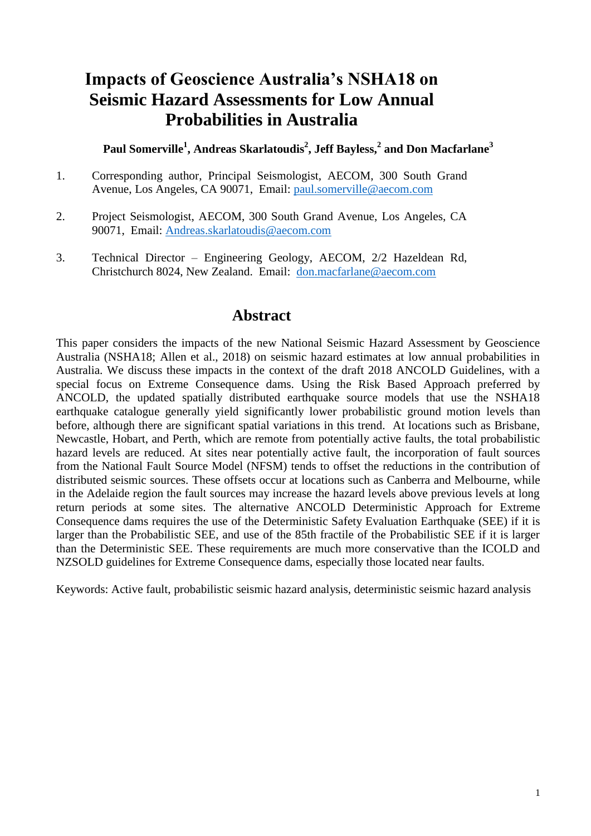# **Impacts of Geoscience Australia's NSHA18 on Seismic Hazard Assessments for Low Annual Probabilities in Australia**

**Paul Somerville<sup>1</sup> , Andreas Skarlatoudis<sup>2</sup> , Jeff Bayless,<sup>2</sup> and Don Macfarlane<sup>3</sup>**

- 1. Corresponding author, Principal Seismologist, AECOM, 300 South Grand Avenue, Los Angeles, CA 90071, Email: [paul.somerville@aecom.com](mailto:paul.somerville@aecom.com)
- 2. Project Seismologist, AECOM, 300 South Grand Avenue, Los Angeles, CA 90071, Email: [Andreas.skarlatoudis@aecom.com](mailto:Andreas.skarlatoudis@aecom.com)
- 3. Technical Director Engineering Geology, AECOM, 2/2 Hazeldean Rd, Christchurch 8024, New Zealand. Email: [don.macfarlane@aecom.com](mailto:don.macfarlane@aecom.com)

# **Abstract**

This paper considers the impacts of the new National Seismic Hazard Assessment by Geoscience Australia (NSHA18; Allen et al., 2018) on seismic hazard estimates at low annual probabilities in Australia. We discuss these impacts in the context of the draft 2018 ANCOLD Guidelines, with a special focus on Extreme Consequence dams. Using the Risk Based Approach preferred by ANCOLD, the updated spatially distributed earthquake source models that use the NSHA18 earthquake catalogue generally yield significantly lower probabilistic ground motion levels than before, although there are significant spatial variations in this trend. At locations such as Brisbane, Newcastle, Hobart, and Perth, which are remote from potentially active faults, the total probabilistic hazard levels are reduced. At sites near potentially active fault, the incorporation of fault sources from the National Fault Source Model (NFSM) tends to offset the reductions in the contribution of distributed seismic sources. These offsets occur at locations such as Canberra and Melbourne, while in the Adelaide region the fault sources may increase the hazard levels above previous levels at long return periods at some sites. The alternative ANCOLD Deterministic Approach for Extreme Consequence dams requires the use of the Deterministic Safety Evaluation Earthquake (SEE) if it is larger than the Probabilistic SEE, and use of the 85th fractile of the Probabilistic SEE if it is larger than the Deterministic SEE. These requirements are much more conservative than the ICOLD and NZSOLD guidelines for Extreme Consequence dams, especially those located near faults.

Keywords: Active fault, probabilistic seismic hazard analysis, deterministic seismic hazard analysis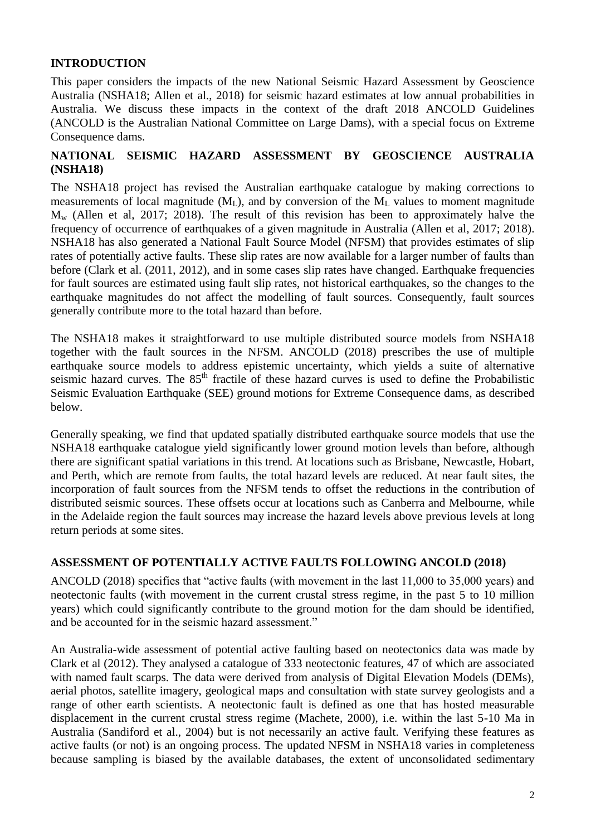## **INTRODUCTION**

This paper considers the impacts of the new National Seismic Hazard Assessment by Geoscience Australia (NSHA18; Allen et al., 2018) for seismic hazard estimates at low annual probabilities in Australia. We discuss these impacts in the context of the draft 2018 ANCOLD Guidelines (ANCOLD is the Australian National Committee on Large Dams), with a special focus on Extreme Consequence dams.

## **NATIONAL SEISMIC HAZARD ASSESSMENT BY GEOSCIENCE AUSTRALIA (NSHA18)**

The NSHA18 project has revised the Australian earthquake catalogue by making corrections to measurements of local magnitude  $(M<sub>L</sub>)$ , and by conversion of the  $M<sub>L</sub>$  values to moment magnitude  $M_{w}$  (Allen et al, 2017; 2018). The result of this revision has been to approximately halve the frequency of occurrence of earthquakes of a given magnitude in Australia (Allen et al, 2017; 2018). NSHA18 has also generated a National Fault Source Model (NFSM) that provides estimates of slip rates of potentially active faults. These slip rates are now available for a larger number of faults than before (Clark et al. (2011, 2012), and in some cases slip rates have changed. Earthquake frequencies for fault sources are estimated using fault slip rates, not historical earthquakes, so the changes to the earthquake magnitudes do not affect the modelling of fault sources. Consequently, fault sources generally contribute more to the total hazard than before.

The NSHA18 makes it straightforward to use multiple distributed source models from NSHA18 together with the fault sources in the NFSM. ANCOLD (2018) prescribes the use of multiple earthquake source models to address epistemic uncertainty, which yields a suite of alternative seismic hazard curves. The 85<sup>th</sup> fractile of these hazard curves is used to define the Probabilistic Seismic Evaluation Earthquake (SEE) ground motions for Extreme Consequence dams, as described below.

Generally speaking, we find that updated spatially distributed earthquake source models that use the NSHA18 earthquake catalogue yield significantly lower ground motion levels than before, although there are significant spatial variations in this trend. At locations such as Brisbane, Newcastle, Hobart, and Perth, which are remote from faults, the total hazard levels are reduced. At near fault sites, the incorporation of fault sources from the NFSM tends to offset the reductions in the contribution of distributed seismic sources. These offsets occur at locations such as Canberra and Melbourne, while in the Adelaide region the fault sources may increase the hazard levels above previous levels at long return periods at some sites.

#### **ASSESSMENT OF POTENTIALLY ACTIVE FAULTS FOLLOWING ANCOLD (2018)**

ANCOLD (2018) specifies that "active faults (with movement in the last 11,000 to 35,000 years) and neotectonic faults (with movement in the current crustal stress regime, in the past 5 to 10 million years) which could significantly contribute to the ground motion for the dam should be identified, and be accounted for in the seismic hazard assessment."

An Australia-wide assessment of potential active faulting based on neotectonics data was made by Clark et al (2012). They analysed a catalogue of 333 neotectonic features, 47 of which are associated with named fault scarps. The data were derived from analysis of Digital Elevation Models (DEMs), aerial photos, satellite imagery, geological maps and consultation with state survey geologists and a range of other earth scientists. A neotectonic fault is defined as one that has hosted measurable displacement in the current crustal stress regime (Machete, 2000), i.e. within the last 5-10 Ma in Australia (Sandiford et al., 2004) but is not necessarily an active fault. Verifying these features as active faults (or not) is an ongoing process. The updated NFSM in NSHA18 varies in completeness because sampling is biased by the available databases, the extent of unconsolidated sedimentary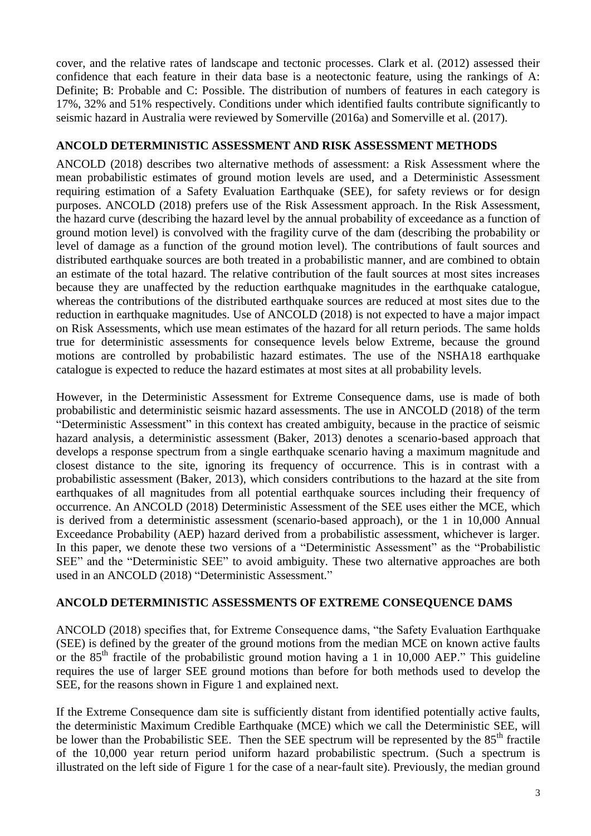cover, and the relative rates of landscape and tectonic processes. Clark et al. (2012) assessed their confidence that each feature in their data base is a neotectonic feature, using the rankings of A: Definite; B: Probable and C: Possible. The distribution of numbers of features in each category is 17%, 32% and 51% respectively. Conditions under which identified faults contribute significantly to seismic hazard in Australia were reviewed by Somerville (2016a) and Somerville et al. (2017).

#### **ANCOLD DETERMINISTIC ASSESSMENT AND RISK ASSESSMENT METHODS**

ANCOLD (2018) describes two alternative methods of assessment: a Risk Assessment where the mean probabilistic estimates of ground motion levels are used, and a Deterministic Assessment requiring estimation of a Safety Evaluation Earthquake (SEE), for safety reviews or for design purposes. ANCOLD (2018) prefers use of the Risk Assessment approach. In the Risk Assessment, the hazard curve (describing the hazard level by the annual probability of exceedance as a function of ground motion level) is convolved with the fragility curve of the dam (describing the probability or level of damage as a function of the ground motion level). The contributions of fault sources and distributed earthquake sources are both treated in a probabilistic manner, and are combined to obtain an estimate of the total hazard. The relative contribution of the fault sources at most sites increases because they are unaffected by the reduction earthquake magnitudes in the earthquake catalogue, whereas the contributions of the distributed earthquake sources are reduced at most sites due to the reduction in earthquake magnitudes. Use of ANCOLD (2018) is not expected to have a major impact on Risk Assessments, which use mean estimates of the hazard for all return periods. The same holds true for deterministic assessments for consequence levels below Extreme, because the ground motions are controlled by probabilistic hazard estimates. The use of the NSHA18 earthquake catalogue is expected to reduce the hazard estimates at most sites at all probability levels.

However, in the Deterministic Assessment for Extreme Consequence dams, use is made of both probabilistic and deterministic seismic hazard assessments. The use in ANCOLD (2018) of the term "Deterministic Assessment" in this context has created ambiguity, because in the practice of seismic hazard analysis, a deterministic assessment (Baker, 2013) denotes a scenario-based approach that develops a response spectrum from a single earthquake scenario having a maximum magnitude and closest distance to the site, ignoring its frequency of occurrence. This is in contrast with a probabilistic assessment (Baker, 2013), which considers contributions to the hazard at the site from earthquakes of all magnitudes from all potential earthquake sources including their frequency of occurrence. An ANCOLD (2018) Deterministic Assessment of the SEE uses either the MCE, which is derived from a deterministic assessment (scenario-based approach), or the 1 in 10,000 Annual Exceedance Probability (AEP) hazard derived from a probabilistic assessment, whichever is larger. In this paper, we denote these two versions of a "Deterministic Assessment" as the "Probabilistic SEE" and the "Deterministic SEE" to avoid ambiguity. These two alternative approaches are both used in an ANCOLD (2018) "Deterministic Assessment."

#### **ANCOLD DETERMINISTIC ASSESSMENTS OF EXTREME CONSEQUENCE DAMS**

ANCOLD (2018) specifies that, for Extreme Consequence dams, "the Safety Evaluation Earthquake (SEE) is defined by the greater of the ground motions from the median MCE on known active faults or the  $85<sup>th</sup>$  fractile of the probabilistic ground motion having a 1 in 10,000 AEP." This guideline requires the use of larger SEE ground motions than before for both methods used to develop the SEE, for the reasons shown in Figure 1 and explained next.

If the Extreme Consequence dam site is sufficiently distant from identified potentially active faults, the deterministic Maximum Credible Earthquake (MCE) which we call the Deterministic SEE, will be lower than the Probabilistic SEE. Then the SEE spectrum will be represented by the 85<sup>th</sup> fractile of the 10,000 year return period uniform hazard probabilistic spectrum. (Such a spectrum is illustrated on the left side of Figure 1 for the case of a near-fault site). Previously, the median ground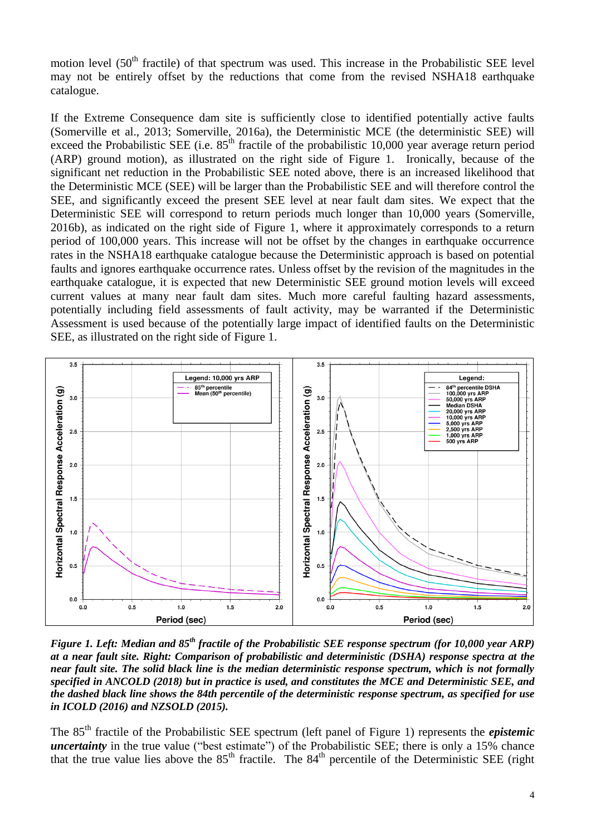motion level (50<sup>th</sup> fractile) of that spectrum was used. This increase in the Probabilistic SEE level may not be entirely offset by the reductions that come from the revised NSHA18 earthquake catalogue.

If the Extreme Consequence dam site is sufficiently close to identified potentially active faults (Somerville et al., 2013; Somerville, 2016a), the Deterministic MCE (the deterministic SEE) will exceed the Probabilistic SEE (i.e.  $85<sup>th</sup>$  fractile of the probabilistic 10,000 year average return period (ARP) ground motion), as illustrated on the right side of Figure 1. Ironically, because of the significant net reduction in the Probabilistic SEE noted above, there is an increased likelihood that the Deterministic MCE (SEE) will be larger than the Probabilistic SEE and will therefore control the SEE, and significantly exceed the present SEE level at near fault dam sites. We expect that the Deterministic SEE will correspond to return periods much longer than 10,000 years (Somerville, 2016b), as indicated on the right side of Figure 1, where it approximately corresponds to a return period of 100,000 years. This increase will not be offset by the changes in earthquake occurrence rates in the NSHA18 earthquake catalogue because the Deterministic approach is based on potential faults and ignores earthquake occurrence rates. Unless offset by the revision of the magnitudes in the earthquake catalogue, it is expected that new Deterministic SEE ground motion levels will exceed current values at many near fault dam sites. Much more careful faulting hazard assessments, potentially including field assessments of fault activity, may be warranted if the Deterministic Assessment is used because of the potentially large impact of identified faults on the Deterministic SEE, as illustrated on the right side of Figure 1.



*Figure 1. Left: Median and 85th fractile of the Probabilistic SEE response spectrum (for 10,000 year ARP) at a near fault site. Right: Comparison of probabilistic and deterministic (DSHA) response spectra at the near fault site. The solid black line is the median deterministic response spectrum, which is not formally specified in ANCOLD (2018) but in practice is used, and constitutes the MCE and Deterministic SEE, and the dashed black line shows the 84th percentile of the deterministic response spectrum, as specified for use in ICOLD (2016) and NZSOLD (2015).* 

The 85th fractile of the Probabilistic SEE spectrum (left panel of Figure 1) represents the *epistemic uncertainty* in the true value ("best estimate") of the Probabilistic SEE; there is only a 15% chance that the true value lies above the  $85<sup>th</sup>$  fractile. The  $84<sup>th</sup>$  percentile of the Deterministic SEE (right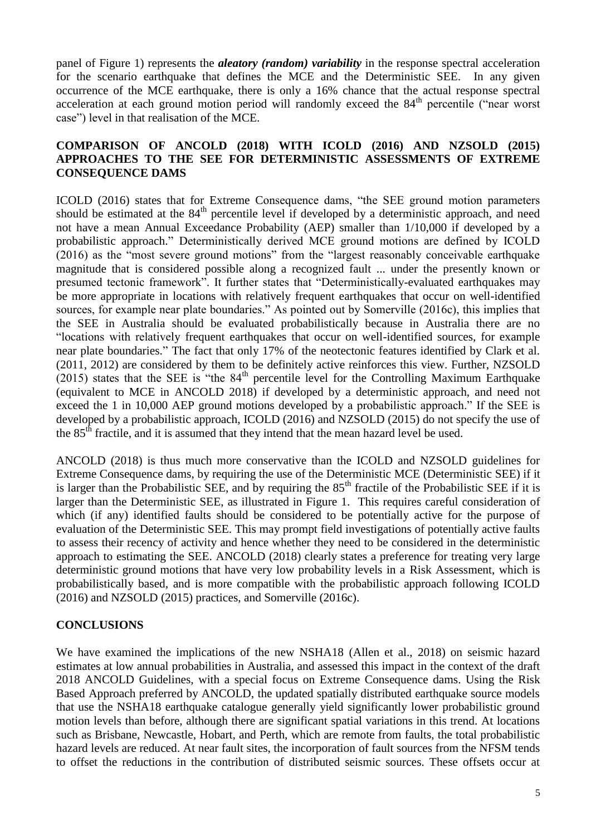panel of Figure 1) represents the *aleatory (random) variability* in the response spectral acceleration for the scenario earthquake that defines the MCE and the Deterministic SEE. In any given occurrence of the MCE earthquake, there is only a 16% chance that the actual response spectral acceleration at each ground motion period will randomly exceed the 84<sup>th</sup> percentile ("near worst case") level in that realisation of the MCE.

#### **COMPARISON OF ANCOLD (2018) WITH ICOLD (2016) AND NZSOLD (2015) APPROACHES TO THE SEE FOR DETERMINISTIC ASSESSMENTS OF EXTREME CONSEQUENCE DAMS**

ICOLD (2016) states that for Extreme Consequence dams, "the SEE ground motion parameters should be estimated at the  $84<sup>th</sup>$  percentile level if developed by a deterministic approach, and need not have a mean Annual Exceedance Probability (AEP) smaller than 1/10,000 if developed by a probabilistic approach." Deterministically derived MCE ground motions are defined by ICOLD (2016) as the "most severe ground motions" from the "largest reasonably conceivable earthquake magnitude that is considered possible along a recognized fault ... under the presently known or presumed tectonic framework". It further states that "Deterministically-evaluated earthquakes may be more appropriate in locations with relatively frequent earthquakes that occur on well-identified sources, for example near plate boundaries." As pointed out by Somerville (2016c), this implies that the SEE in Australia should be evaluated probabilistically because in Australia there are no "locations with relatively frequent earthquakes that occur on well-identified sources, for example near plate boundaries." The fact that only 17% of the neotectonic features identified by Clark et al. (2011, 2012) are considered by them to be definitely active reinforces this view. Further, NZSOLD  $(2015)$  states that the SEE is "the 84<sup>th</sup> percentile level for the Controlling Maximum Earthquake (equivalent to MCE in ANCOLD 2018) if developed by a deterministic approach, and need not exceed the 1 in 10,000 AEP ground motions developed by a probabilistic approach." If the SEE is developed by a probabilistic approach, ICOLD (2016) and NZSOLD (2015) do not specify the use of the 85<sup>th</sup> fractile, and it is assumed that they intend that the mean hazard level be used.

ANCOLD (2018) is thus much more conservative than the ICOLD and NZSOLD guidelines for Extreme Consequence dams, by requiring the use of the Deterministic MCE (Deterministic SEE) if it is larger than the Probabilistic SEE, and by requiring the 85<sup>th</sup> fractile of the Probabilistic SEE if it is larger than the Deterministic SEE, as illustrated in Figure 1. This requires careful consideration of which (if any) identified faults should be considered to be potentially active for the purpose of evaluation of the Deterministic SEE. This may prompt field investigations of potentially active faults to assess their recency of activity and hence whether they need to be considered in the deterministic approach to estimating the SEE. ANCOLD (2018) clearly states a preference for treating very large deterministic ground motions that have very low probability levels in a Risk Assessment, which is probabilistically based, and is more compatible with the probabilistic approach following ICOLD (2016) and NZSOLD (2015) practices, and Somerville (2016c).

#### **CONCLUSIONS**

We have examined the implications of the new NSHA18 (Allen et al., 2018) on seismic hazard estimates at low annual probabilities in Australia, and assessed this impact in the context of the draft 2018 ANCOLD Guidelines, with a special focus on Extreme Consequence dams. Using the Risk Based Approach preferred by ANCOLD, the updated spatially distributed earthquake source models that use the NSHA18 earthquake catalogue generally yield significantly lower probabilistic ground motion levels than before, although there are significant spatial variations in this trend. At locations such as Brisbane, Newcastle, Hobart, and Perth, which are remote from faults, the total probabilistic hazard levels are reduced. At near fault sites, the incorporation of fault sources from the NFSM tends to offset the reductions in the contribution of distributed seismic sources. These offsets occur at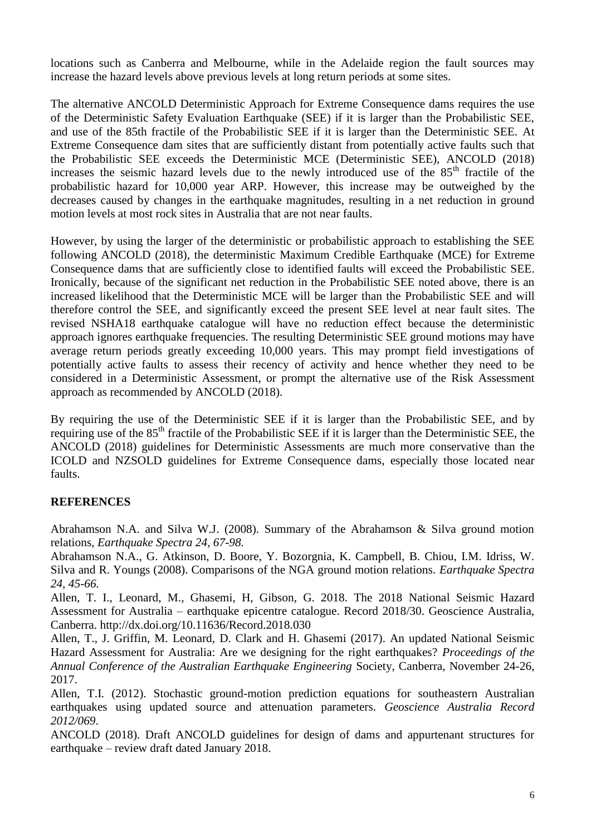locations such as Canberra and Melbourne, while in the Adelaide region the fault sources may increase the hazard levels above previous levels at long return periods at some sites.

The alternative ANCOLD Deterministic Approach for Extreme Consequence dams requires the use of the Deterministic Safety Evaluation Earthquake (SEE) if it is larger than the Probabilistic SEE, and use of the 85th fractile of the Probabilistic SEE if it is larger than the Deterministic SEE. At Extreme Consequence dam sites that are sufficiently distant from potentially active faults such that the Probabilistic SEE exceeds the Deterministic MCE (Deterministic SEE), ANCOLD (2018) increases the seismic hazard levels due to the newly introduced use of the 85<sup>th</sup> fractile of the probabilistic hazard for 10,000 year ARP. However, this increase may be outweighed by the decreases caused by changes in the earthquake magnitudes, resulting in a net reduction in ground motion levels at most rock sites in Australia that are not near faults.

However, by using the larger of the deterministic or probabilistic approach to establishing the SEE following ANCOLD (2018), the deterministic Maximum Credible Earthquake (MCE) for Extreme Consequence dams that are sufficiently close to identified faults will exceed the Probabilistic SEE. Ironically, because of the significant net reduction in the Probabilistic SEE noted above, there is an increased likelihood that the Deterministic MCE will be larger than the Probabilistic SEE and will therefore control the SEE, and significantly exceed the present SEE level at near fault sites. The revised NSHA18 earthquake catalogue will have no reduction effect because the deterministic approach ignores earthquake frequencies. The resulting Deterministic SEE ground motions may have average return periods greatly exceeding 10,000 years. This may prompt field investigations of potentially active faults to assess their recency of activity and hence whether they need to be considered in a Deterministic Assessment, or prompt the alternative use of the Risk Assessment approach as recommended by ANCOLD (2018).

By requiring the use of the Deterministic SEE if it is larger than the Probabilistic SEE, and by requiring use of the 85<sup>th</sup> fractile of the Probabilistic SEE if it is larger than the Deterministic SEE, the ANCOLD (2018) guidelines for Deterministic Assessments are much more conservative than the ICOLD and NZSOLD guidelines for Extreme Consequence dams, especially those located near faults.

#### **REFERENCES**

Abrahamson N.A. and Silva W.J. (2008). Summary of the Abrahamson & Silva ground motion relations, *Earthquake Spectra 24, 67-98.*

Abrahamson N.A., G. Atkinson, D. Boore, Y. Bozorgnia, K. Campbell, B. Chiou, I.M. Idriss, W. Silva and R. Youngs (2008). Comparisons of the NGA ground motion relations. *Earthquake Spectra 24, 45-66.*

Allen, T. I., Leonard, M., Ghasemi, H, Gibson, G. 2018. The 2018 National Seismic Hazard Assessment for Australia – earthquake epicentre catalogue. Record 2018/30. Geoscience Australia, Canberra. http://dx.doi.org/10.11636/Record.2018.030

Allen, T., J. Griffin, M. Leonard, D. Clark and H. Ghasemi (2017). An updated National Seismic Hazard Assessment for Australia: Are we designing for the right earthquakes? *Proceedings of the Annual Conference of the Australian Earthquake Engineering* Society, Canberra, November 24-26, 2017.

Allen, T.I. (2012). Stochastic ground-motion prediction equations for southeastern Australian earthquakes using updated source and attenuation parameters. *Geoscience Australia Record 2012/069*.

ANCOLD (2018). Draft ANCOLD guidelines for design of dams and appurtenant structures for earthquake – review draft dated January 2018.